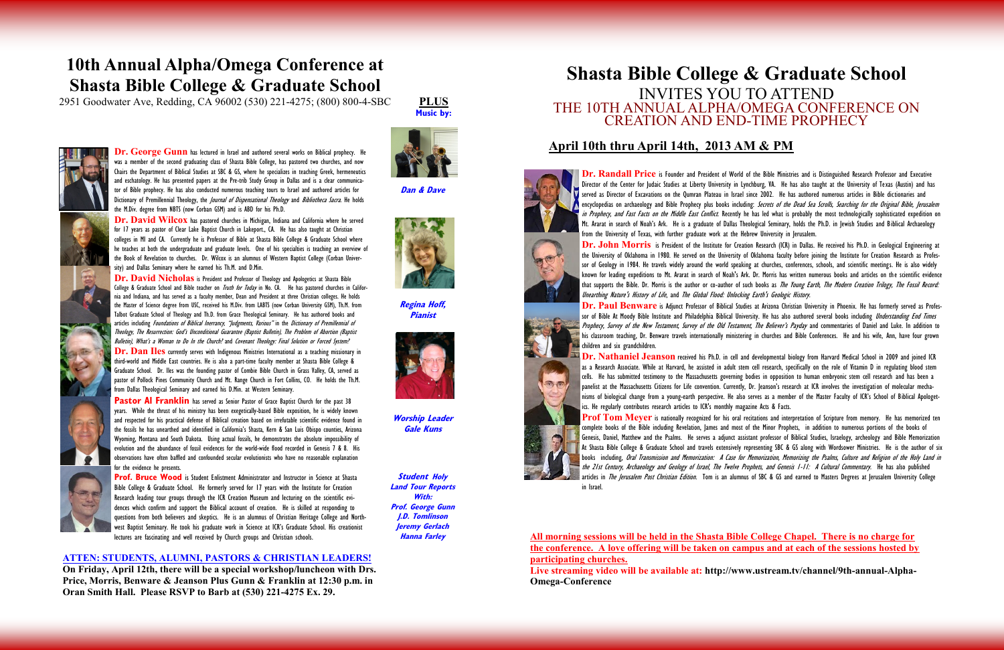**Dr. Randall Price** is Founder and President of World of the Bible Ministries and is Distinguished Research Professor and Executive Director of the Center for Judaic Studies at Liberty University in Lynchburg, VA. He has also taught at the University of Texas (Austin) and has served as Director of Excavations on the Qumran Plateau in Israel since 2002. He has authored numerous articles in Bible dictionaries and encyclopedias on archaeology and Bible Prophecy plus books including: *Secrets of the Dead Sea Scrolls, Searching for the Original Bible, Jerusalem* in Prophecy, and Fast Facts on the Middle East Conflict. Recently he has led what is probably the most technologically sophisticated expedition on Mt. Ararat in search of Noah's Ark. He is a graduate of Dallas Theological Seminary, holds the Ph.D. in Jewish Studies and Biblical Archaeology

the University of Oklahoma in 1980. He served on the University of Oklahoma faculty before joining the Institute for Creation Research as Professor of Geology in 1984. He travels widely around the world speaking at churches, conferences, schools, and scientific meetings. He is also widely known for leading expeditions to Mt. Ararat in search of Noah's Ark. Dr. Morris has written numerous books and articles on the scientific evidence that supports the Bible. Dr. Morris is the author or co-author of such books as The Young Earth, The Modern Creation Trilogy, The Fossil Record:



**Dr. Paul Benware** is Adjunct Professor of Biblical Studies at Arizona Christian University in Phoenix. He has formerly served as Professor of Bible At Moody Bible Institute and Philadelphia Biblical University. He has also authored several books including *Understanding End Times* Prophecy, Survey of the New Testament, Survey of the Old Testament, The Believer's Payday and commentaries of Daniel and Luke. In addition to his classroom teaching, Dr. Benware travels internationally ministering in churches and Bible Conferences. He and his wife, Ann, have four grown children and six grandchildren.

**Dr. George Gunn** has lectured in Israel and authored several works on Biblical prophecy. H was a member of the second graduating class of Shasta Bible College, has pastored two churches, and now Chairs the Department of Biblical Studies at SBC & GS, where he specializes in teaching Greek, hermeneutics and eschatology. He has presented papers at the Pre-trib Study Group in Dallas and is a clear communicator of Bible prophecy. He has also conducted numerous teaching tours to Israel and authored articles for Dictionary of Premillennial Theology, the *Journal of Dispensational Theology* and *Bibliotheca Sacra*. He holds the M.Div. degree from NBTS (now Corban GSM) and is ABD for his Ph.D.

Dr. David Wilcox has pastored churches in Michigan, Indiana and California where he served for 17 years as pastor of Clear Lake Baptist Church in Lakeport., CA. He has also taught at Christian colleges in MI and CA. Currently he is Professor of Bible at Shasta Bible College & Graduate School where he teaches at both the undergraduate and graduate levels. One of his specialties is teaching an overview of the Book of Revelation to churches. Dr. Wilcox is an alumnus of Western Baptist College (Corban University) and Dallas Seminary where he earned his Th.M. and D.Min.

Dr. David Nicholas is President and Professor of Theology and Apologetics at Shasta Bible College & Graduate School and Bible teacher on *Truth for Today* in No. CA. He has pastored churches in California and Indiana, and has served as a faculty member, Dean and President at three Christian colleges. He holds the Master of Science degree from USC, received his M.Div. from LABTS (now Corban University GSM), Th.M. from Talbot Graduate School of Theology and Th.D. from Grace Theological Seminary. He has authored books and articles including *Foundations of Biblical Inerrancy, "Iudgments, Various"* in the *Dictionary of Premillennial of* Theology, The Resurrection: God's Unconditional Guarantee (Baptist Bulletin), The Problem of Abortion (Baptist Bulletin), What's a Woman to Do In the Church? and Covenant Theology: Final Solution or Forced System?

> **Dr. Nathaniel Jeanson** received his Ph.D. in cell and developmental biology from Harvard Medical School in 2009 and joined ICR as a Research Associate. While at Harvard, he assisted in adult stem cell research, specifically on the role of Vitamin D in regulating blood stem cells. He has submitted testimony to the Massachusetts governing bodies in opposition to human embryonic stem cell research and has been a panelist at the Massachusetts Citizens for Life convention. Currently, Dr. Jeanson's research at ICR involves the investigation of molecular mechanisms of biological change from a young-earth perspective. He also serves as a member of the Master Faculty of ICR's School of Biblical Apologetics. He regularly contributes research articles to ICR's monthly magazine Acts & Facts. **Prof Tom Meyer** is nationally recognized for his oral recitations and interpretation of Scripture from memory. He has memorized ten complete books of the Bible including Revelation, James and most of the Minor Prophets, in addition to numerous portions of the books of Genesis, Daniel, Matthew and the Psalms. He serves a adjunct assistant professor of Biblical Studies, Israelogy, archeology and Bible Memorization At Shasta Bible College & Graduate School and travels extensively representing SBC & GS along with Wordsower Ministries. He is the author of six books including, Oral Transmission and Memorization: A Case for Memorization, Memorizing the Psalms, Culture and Religion of the Holy Land in the 21st Century, Archaeology and Geology of Israel, The Twelve Prophets, and Genesis 1-11: A Cultural Commentary. He has also published articles in *The Jerusalem Post Christian Edition*. Tom is an alumnus of SBC & GS and earned to Masters Degrees at Ierusalem University College in Israel.

Dr. Dan Iles currently serves with Indigenous Ministries International as a teaching missionary in third-world and Middle East countries. He is also a part-time faculty member at Shasta Bible College & Graduate School. Dr. Iles was the founding pastor of Combie Bible Church in Grass Valley, CA, served as pastor of Pollock Pines Community Church and Mt. Range Church in Fort Collins, CO. He holds the Th.M. from Dallas Theological Seminary and earned his D.Min. at Western Seminary.

**Pastor Al Franklin** has served as Senior Pastor of Grace Baptist Church for the past 38 years. While the thrust of his ministry has been exegetically-based Bible exposition, he is widely known and respected for his practical defense of Biblical creation based on irrefutable scientific evidence found in the fossils he has unearthed and identified in California's Shasta, Kern & San Luis Obispo counties, Arizona Wyoming, Montana and South Dakota. Using actual fossils, he demonstrates the absolute impossibility of evolution and the abundance of fossil evidences for the world-wide flood recorded in Genesis 7 & 8. His observations have often baffled and confounded secular evolutionists who have no reasonable explanation for the evidence he presents.



# **Shasta Bible College & Graduate School** INVITES YOU TO ATTEND THE 10TH ANNUAL ALPHA/OMEGA CONFERENCE ON CREATION AND END-TIME PROPHECY

## **April 10th thru April 14th, 2013 AM & PM**

**Prof. Bruce Wood** is Student Enlistment Administrator and Instructor in Science at Shasta Bible College & Graduate School. He formerly served for 17 years with the Institute for Creation Research leading tour groups through the ICR Creation Museum and lecturing on the scientific evidences which confirm and support the Biblical account of creation. He is skilled at responding to questions from both believers and skeptics. He is an alumnus of Christian Heritage College and Northwest Baptist Seminary. He took his graduate work in Science at ICR's Graduate School. His creationist lectures are fascinating and well received by Church groups and Christian schools.

**All morning sessions will be held in the Shasta Bible College Chapel. There is no charge for the conference. A love offering will be taken on campus and at each of the sessions hosted by participating churches.**  Live streaming video will be available at: http://www.ustream.tv/channel/9th-annual-Alpha-**Omega-Conference**

**PLUS Music by:**



**Dan & Dave**



**Regina Hoff,** 





**Pianist**



**Worship Leader Gale Kuns**

### **ATTEN: STUDENTS, ALUMNI, PASTORS & CHRISTIAN LEADERS!**

**On Friday, April 12th, there will be a special workshop/luncheon with Drs. Price, Morris, Benware & Jeanson Plus Gunn & Franklin at 12:30 p.m. in Oran Smith Hall. Please RSVP to Barb at (530) 221-4275 Ex. 29.** 



# **10th Annual Alpha/Omega Conference at Shasta Bible College & Graduate School**

2951 Goodwater Ave, Redding, CA 96002 (530) 221-4275; (800) 800-4-SBC

**Student****Holy Land Tour Reports With: Prof. George Gunn J.D. Tomlinson Jeremy Gerlach Hanna Farley**